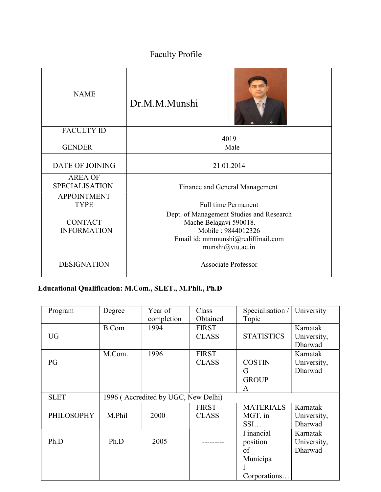# Faculty Profile

| <b>NAME</b>                             | Dr.M.M.Munshi                                                                                                                                     |  |
|-----------------------------------------|---------------------------------------------------------------------------------------------------------------------------------------------------|--|
| <b>FACULTY ID</b>                       | 4019                                                                                                                                              |  |
| <b>GENDER</b>                           | Male                                                                                                                                              |  |
| DATE OF JOINING                         | 21.01.2014                                                                                                                                        |  |
| <b>AREA OF</b><br><b>SPECIALISATION</b> | Finance and General Management                                                                                                                    |  |
| <b>APPOINTMENT</b><br><b>TYPE</b>       | <b>Full time Permanent</b>                                                                                                                        |  |
| <b>CONTACT</b><br><b>INFORMATION</b>    | Dept. of Management Studies and Research<br>Mache Belagavi 590018.<br>Mobile: 9844012326<br>Email id: mmmunshi@rediffmail.com<br>munshi@vtu.ac.in |  |
| <b>DESIGNATION</b>                      | <b>Associate Professor</b>                                                                                                                        |  |

# Educational Qualification: M.Com., SLET., M.Phil., Ph.D

| Program           | Degree       | Year of                             | Class        | Specialisation /  | University  |
|-------------------|--------------|-------------------------------------|--------------|-------------------|-------------|
|                   |              | completion                          | Obtained     | Topic             |             |
|                   | <b>B.Com</b> | 1994                                | <b>FIRST</b> |                   | Karnatak    |
| <b>UG</b>         |              |                                     | <b>CLASS</b> | <b>STATISTICS</b> | University, |
|                   |              |                                     |              |                   | Dharwad     |
|                   | M.Com.       | 1996                                | <b>FIRST</b> |                   | Karnatak    |
| PG                |              |                                     | <b>CLASS</b> | <b>COSTIN</b>     | University, |
|                   |              |                                     |              | G                 | Dharwad     |
|                   |              |                                     |              | <b>GROUP</b>      |             |
|                   |              |                                     |              | A                 |             |
| <b>SLET</b>       |              | 1996 (Accredited by UGC, New Delhi) |              |                   |             |
|                   |              |                                     | <b>FIRST</b> | <b>MATERIALS</b>  | Karnatak    |
| <b>PHILOSOPHY</b> | M.Phil       | 2000                                | <b>CLASS</b> | MGT. in           | University, |
|                   |              |                                     |              | SSI               | Dharwad     |
|                   |              |                                     |              | Financial         | Karnatak    |
| Ph.D              | Ph.D         | 2005                                |              | position          | University, |
|                   |              |                                     |              | of                | Dharwad     |
|                   |              |                                     |              | Municipa          |             |
|                   |              |                                     |              |                   |             |
|                   |              |                                     |              | Corporations      |             |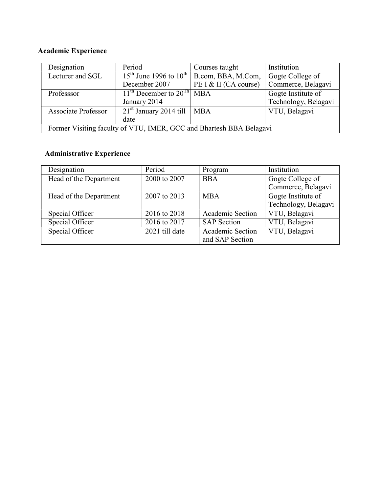# Academic Experience

| Designation                                                         | Period                                            | Courses taught        | Institution          |
|---------------------------------------------------------------------|---------------------------------------------------|-----------------------|----------------------|
| Lecturer and SGL                                                    | $15^{th}$ June 1996 to $10^{th}$                  | B.com, BBA, M.Com,    | Gogte College of     |
|                                                                     | December 2007                                     | PE I & II (CA course) | Commerce, Belagavi   |
| Professsor                                                          | $11^{\text{th}}$ December to $20^{\text{Th}}$ MBA |                       | Gogte Institute of   |
|                                                                     | January 2014                                      |                       | Technology, Belagavi |
| <b>Associate Professor</b>                                          | $21st$ January 2014 till                          | <b>MBA</b>            | VTU, Belagavi        |
|                                                                     | date                                              |                       |                      |
| Former Visiting faculty of VTU, IMER, GCC and Bhartesh BBA Belagavi |                                                   |                       |                      |

# Administrative Experience

| Designation            | Period         | Program            | Institution          |
|------------------------|----------------|--------------------|----------------------|
| Head of the Department | 2000 to 2007   | <b>BBA</b>         | Gogte College of     |
|                        |                |                    | Commerce, Belagavi   |
| Head of the Department | 2007 to 2013   | <b>MBA</b>         | Gogte Institute of   |
|                        |                |                    | Technology, Belagavi |
| Special Officer        | 2016 to 2018   | Academic Section   | VTU, Belagavi        |
| Special Officer        | 2016 to 2017   | <b>SAP</b> Section | VTU, Belagavi        |
| Special Officer        | 2021 till date | Academic Section   | VTU, Belagavi        |
|                        |                | and SAP Section    |                      |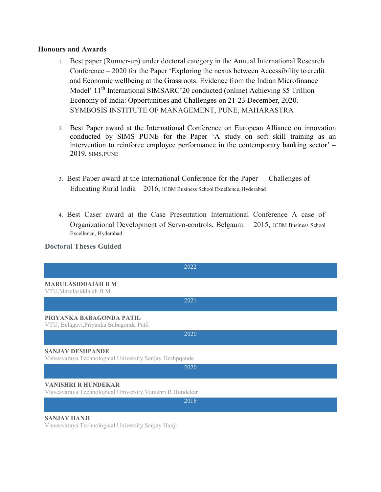## Honours and Awards

- 1. Best paper (Runner-up) under doctoral category in the Annual International Research Conference – 2020 for the Paper 'Exploring the nexus between Accessibility to credit and Economic wellbeing at the Grassroots: Evidence from the Indian Microfinance Model' 11<sup>th</sup> International SIMSARC'20 conducted (online) Achieving \$5 Trillion Economy of India: Opportunities and Challenges on 21-23 December, 2020. SYMBOSIS INSTITUTE OF MANAGEMENT, PUNE, MAHARASTRA
- 2. Best Paper award at the International Conference on European Alliance on innovation conducted by SIMS PUNE for the Paper 'A study on soft skill training as an intervention to reinforce employee performance in the contemporary banking sector' – 2019, SIMS, PUNE
- 3. Best Paper award at the International Conference for the Paper Challenges of Educating Rural India – 2016, ICBM Business School Excellence, Hyderabad
- 4. Best Caser award at the Case Presentation International Conference A case of Organizational Development of Servo-controls, Belgaum. – 2015, ICBM Business School Excellence, Hyderabad

# Doctoral Theses Guided

| 2022                                                                                     |
|------------------------------------------------------------------------------------------|
| <b>MARULASIDDAIAH B M</b><br>VTU, Marulasiddaiah B M                                     |
| 2021                                                                                     |
| PRIYANKA BABAGONDA PATIL<br>VTU, Belagavi, Priyanka Babagonda Patil                      |
| 2020                                                                                     |
| <b>SANJAY DESHPANDE</b><br>Visvesvaraya Technological University, Sanjay Deshpqande      |
| 2020                                                                                     |
| <b>VANISHRI R HUNDEKAR</b><br>Visvesvaraya Technological University, Vanishri R Hundekar |
| 2016                                                                                     |
| <b>SANJAY HANJI</b>                                                                      |

Visvesvaraya Technological University,Sanjay Hanji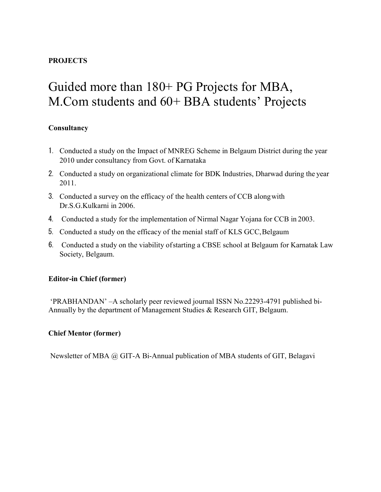# PROJECTS

# Guided more than 180+ PG Projects for MBA, M.Com students and 60+ BBA students' Projects

# **Consultancy**

- 1. Conducted a study on the Impact of MNREG Scheme in Belgaum District during the year 2010 under consultancy from Govt. of Karnataka
- 2. Conducted a study on organizational climate for BDK Industries, Dharwad during the year 2011.
- 3. Conducted a survey on the efficacy of the health centers of CCB along with Dr.S.G.Kulkarni in 2006.
- 4. Conducted a study for the implementation of Nirmal Nagar Yojana for CCB in 2003.
- 5. Conducted a study on the efficacy of the menial staff of KLS GCC, Belgaum
- 6. Conducted a study on the viability of starting a CBSE school at Belgaum for Karnatak Law Society, Belgaum.

# Editor-in Chief (former)

'PRABHANDAN' –A scholarly peer reviewed journal ISSN No.22293-4791 published bi-Annually by the department of Management Studies & Research GIT, Belgaum.

# Chief Mentor (former)

Newsletter of MBA @ GIT-A Bi-Annual publication of MBA students of GIT, Belagavi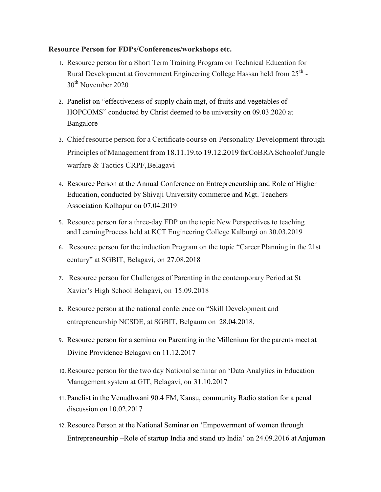## Resource Person for FDPs/Conferences/workshops etc.

- 1. Resource person for a Short Term Training Program on Technical Education for Rural Development at Government Engineering College Hassan held from 25<sup>th</sup> -30<sup>th</sup> November 2020
- 2. Panelist on "effectiveness of supply chain mgt, of fruits and vegetables of HOPCOMS" conducted by Christ deemed to be university on 09.03.2020 at Bangalore
- 3. Chief resource person for a Certificate course on Personality Development through Principles of Management from 18.11.19.to 19.12.2019 for CoBRA Schoolof Jungle warfare & Tactics CRPF, Belagavi
- 4. Resource Person at the Annual Conference on Entrepreneurship and Role of Higher Education, conducted by Shivaji University commerce and Mgt. Teachers Association Kolhapur on 07.04.2019
- 5. Resource person for a three-day FDP on the topic New Perspectives to teaching and LearningProcess held at KCT Engineering College Kalburgi on 30.03.2019
- 6. Resource person for the induction Program on the topic "Career Planning in the 21st century" at SGBIT, Belagavi, on 27.08.2018
- 7. Resource person for Challenges of Parenting in the contemporary Period at St Xavier's High School Belagavi, on 15.09.2018
- 8. Resource person at the national conference on "Skill Development and entrepreneurship NCSDE, at SGBIT, Belgaum on 28.04.2018,
- 9. Resource person for a seminar on Parenting in the Millenium for the parents meet at Divine Providence Belagavi on 11.12.2017
- 10.Resource person for the two day National seminar on 'Data Analytics in Education Management system at GIT, Belagavi, on 31.10.2017
- 11.Panelist in the Venudhwani 90.4 FM, Kansu, community Radio station for a penal discussion on 10.02.2017
- 12.Resource Person at the National Seminar on 'Empowerment of women through Entrepreneurship –Role of startup India and stand up India' on 24.09.2016 at Anjuman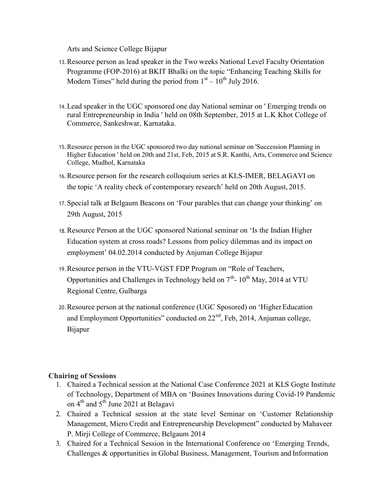Arts and Science College Bijapur

- 13.Resource person as lead speaker in the Two weeks National Level Faculty Orientation Programme (FOP-2016) at BKIT Bhalki on the topic "Enhancing Teaching Skills for Modern Times" held during the period from  $1<sup>st</sup> - 10<sup>th</sup>$  July 2016.
- 14.Lead speaker in the UGC sponsored one day National seminar on ' Emerging trends on rural Entrepreneurship in India ' held on 08th September, 2015 at L.K Khot College of Commerce, Sankeshwar, Karnataka.
- 15.Resource person in the UGC sponsored two day national seminar on 'Succession Planning in Higher Education ' held on 20th and 21st, Feb, 2015 at S.R. Kanthi, Arts, Commerce and Science College, Mudhol, Karnataka
- 16.Resource person for the research colloquium series at KLS-IMER, BELAGAVI on the topic 'A reality check of contemporary research' held on 20th August, 2015.
- 17.Special talk at Belgaum Beacons on 'Four parables that can change your thinking' on 29th August, 2015
- 18.Resource Person at the UGC sponsored National seminar on 'Is the Indian Higher Education system at cross roads? Lessons from policy dilemmas and its impact on employment' 04.02.2014 conducted by Anjuman College Bijapur
- 19.Resource person in the VTU-VGST FDP Program on "Role of Teachers, Opportunities and Challenges in Technology held on  $7<sup>th</sup>$ - 10<sup>th</sup> May, 2014 at VTU Regional Centre, Gulbarga
- 20.Resource person at the national conference (UGC Sposored) on 'Higher Education and Employment Opportunities" conducted on  $22<sup>nd</sup>$ , Feb, 2014, Anjuman college, Bijapur

# Chairing of Sessions

- 1. Chaired a Technical session at the National Case Conference 2021 at KLS Gogte Institute of Technology, Department of MBA on 'Busines Innovations during Covid-19 Pandemic on  $4<sup>th</sup>$  and  $5<sup>th</sup>$  June 2021 at Belagavi
- 2. Chaired a Technical session at the state level Seminar on 'Customer Relationship Management, Micro Credit and Entrepreneurship Development" conducted by Mahaveer P. Mirji College of Commerce, Belgaum 2014
- 3. Chaired for a Technical Session in the International Conference on 'Emerging Trends, Challenges & opportunities in Global Business, Management, Tourism and Information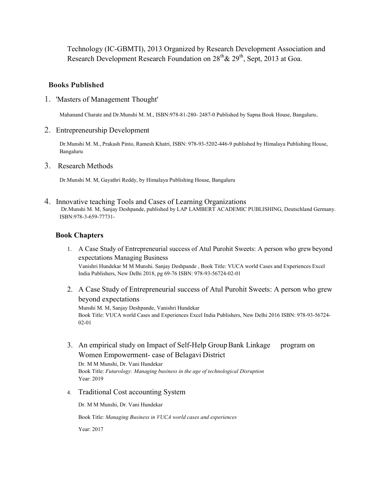Technology (IC-GBMTI), 2013 Organized by Research Development Association and Research Development Research Foundation on  $28<sup>th</sup> \& 29<sup>th</sup>$ , Sept, 2013 at Goa.

# Books Published

1. 'Masters of Management Thought'

Mahanand Charate and Dr.Munshi M. M., ISBN:978-81-280- 2487-0 Published by Sapna Book House, Bangaluru.

2. Entrepreneurship Development

Dr.Munshi M. M., Prakash Pinto, Ramesh Khatri, ISBN: 978-93-5202-446-9 published by Himalaya Publishing House, Bangaluru

3. Research Methods

Dr.Munshi M. M, Gayathri Reddy, by Himalaya Publishing House, Bangaluru

4. Innovative teaching Tools and Cases of Learning Organizations Dr.Munshi M. M, Sanjay Deshpande, published by LAP LAMBERT ACADEMIC PUBLISHING, Deutschland Germany. ISBN:978-3-659-77731-

# Book Chapters

- 1. A Case Study of Entrepreneurial success of Atul Purohit Sweets: A person who grew beyond expectations Managing Business Vanishri Hundekar M M Munshi. Sanjay Deshpande , Book Title: VUCA world Cases and Experiences Excel India Publishers, New Delhi 2018, pg 69-76 ISBN: 978-93-56724-02-01
- 2. A Case Study of Entrepreneurial success of Atul Purohit Sweets: A person who grew beyond expectations Munshi M. M, Sanjay Deshpande, Vanishri Hundekar

Book Title: VUCA world Cases and Experiences Excel India Publishers, New Delhi 2016 ISBN: 978-93-56724- 02-01

3. An empirical study on Impact of Self-Help Group Bank Linkage program on Women Empowerment- case of Belagavi District

Dr. M M Munshi, Dr. Vani Hundekar Book Title: Futurology: Managing business in the age of technological Disruption Year: 2019

4. Traditional Cost accounting System

Dr. M M Munshi, Dr. Vani Hundekar

Book Title: Managing Business in VUCA world cases and experiences

Year: 2017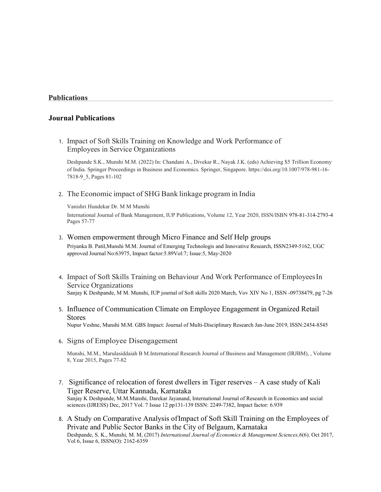## Publications

## Journal Publications

1. Impact of Soft Skills Training on Knowledge and Work Performance of Employees in Service Organizations

Deshpande S.K., Munshi M.M. (2022) In: Chandani A., Divekar R., Nayak J.K. (eds) Achieving \$5 Trillion Economy of India. Springer Proceedings in Business and Economics. Springer, Singapore. https://doi.org/10.1007/978-981-16- 7818-9\_5, Pages 81-102

#### 2. The Economic impact of SHG Bank linkage program in India

Vanishri Hundekar Dr. M M Munshi

International Journal of Bank Management, IUP Publications, Volume 12, Year 2020, ISSN/ISBN 978-81-314-2793-4 Pages 57-77

#### 3. Women empowerment through Micro Finance and Self Help groups

Priyanka B. Patil,Munshi M.M. Journal of Emerging Technologis and Innovative Research, ISSN2349-5162, UGC approved Journal No:63975, Impact factor:5.89Vol:7; Issue:5, May-2020

- 4. Impact of Soft Skills Training on Behaviour And Work Performance of Employees In Service Organizations Sanjay K Deshpande, M M. Munshi, IUP journal of Soft skills 2020 March, Vov XIV No 1, ISSN -09738479, pg 7-26
- 5. Influence of Communication Climate on Employee Engagement in Organized Retail Stores

Nupur Veshne, Munshi M.M. GBS Impact: Journal of Multi-Disciplinary Research Jan-June 2019, ISSN:2454-8545

6. Signs of Employee Disengagement

Munshi, M.M., Marulasiddaiah B M.International Research Journal of Business and Management (IRJBM), , Volume 8, Year 2015, Pages 77-82

- 7. Significance of relocation of forest dwellers in Tiger reserves A case study of Kali Tiger Reserve, Uttar Kannada, Karnataka Sanjay K Deshpande, M.M.Munshi, Darekar Jayanand, International Journal of Research in Economics and social sciences (IJRESS) Dec, 2017 Vol. 7 Issue 12 pp131-139 ISSN: 2249-7382, Impact factor: 6.939
- 8. A Study on Comparative Analysis of Impact of Soft Skill Training on the Employees of Private and Public Sector Banks in the City of Belgaum, Karnataka Deshpande, S. K., Munshi, M. M, (2017) International Journal of Economics & Management Sciences, 6(6). Oct 2017, Vol 6, Issue 6, ISSN(O): 2162-6359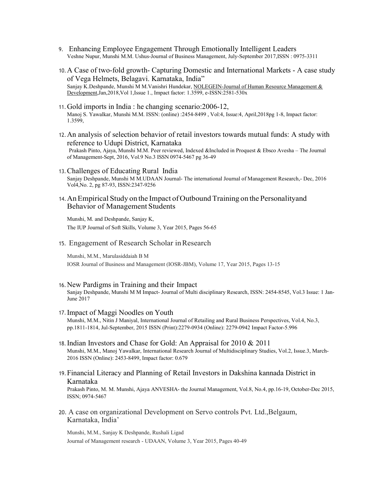- 9. Enhancing Employee Engagement Through Emotionally Intelligent Leaders Veshne Nupur, Munshi M.M. Ushus-Journal of Business Management, July-September 2017,ISSN : 0975-3311
- 10.A Case of two-fold growth- Capturing Domestic and International Markets A case study of Vega Helmets, Belagavi. Karnataka, India" Sanjay K.Deshpande, Munshi M M.Vanishri Hundekar, NOLEGEIN-Journal of Human Resource Management & Development,Jan,2018,Vol 1,Issue 1., Impact factor: 1.3599, e-ISSN:2581-530x
- 11.Gold imports in India : he changing scenario:2006-12, Manoj S. Yawalkar, Munshi M.M. ISSN: (online) :2454-8499 , Vol:4, Issue:4, April,2018pg 1-8, Impact factor: 1.3599,
- 12.An analysis of selection behavior of retail investors towards mutual funds: A study with reference to Udupi District, Karnataka Prakash Pinto, Ajaya, Munshi M.M. Peer reviewed, Indexed &Included in Proquest & Ebsco Avesha – The Journal of Management-Sept, 2016, Vol.9 No.3 ISSN 0974-5467 pg 36-49
- 13.Challenges of Educating Rural India Sanjay Deshpande, Munshi M M.UDAAN Journal- The international Journal of Management Research,- Dec, 2016 Vol4,No. 2, pg 87-93, ISSN:2347-9256
- 14.An Empirical Study on the Impact of Outbound Training on the Personalityand Behavior of Management Students

Munshi, M. and Deshpande, Sanjay K, The IUP Journal of Soft Skills, Volume 3, Year 2015, Pages 56-65

15. Engagement of Research Scholar in Research

Munshi, M.M., Marulasiddaiah B M IOSR Journal of Business and Management (IOSR-JBM), Volume 17, Year 2015, Pages 13-15

- 16.New Pardigms in Training and their Impact Sanjay Deshpande, Munshi M M Impact- Journal of Multi disciplinary Research, ISSN: 2454-8545, Vol.3 Issue: 1 Jan-June 2017
- 17.Impact of Maggi Noodles on Youth Munshi, M.M., Nitin J Maniyal, International Journal of Retailing and Rural Business Perspectives, Vol.4, No.3, pp.1811-1814, Jul-September, 2015 ISSN (Print):2279-0934 (Online): 2279-0942 Impact Factor-5.996
- 18.Indian Investors and Chase for Gold: An Appraisal for 2010 & 2011 Munshi, M.M., Manoj Yawalkar, International Research Journal of Multidisciplinary Studies, Vol.2, Issue.3, March-2016 ISSN (Online): 2453-8499, Impact factor: 0.679
- 19.Financial Literacy and Planning of Retail Investors in Dakshina kannada District in Karnataka

Prakash Pinto, M. M. Munshi, Ajaya ANVESHA- the Journal Management, Vol.8, No.4, pp.16-19, October-Dec 2015, ISSN; 0974-5467

20. A case on organizational Development on Servo controls Pvt. Ltd.,Belgaum, Karnataka, India'

Munshi, M.M., Sanjay K Deshpande, Rushali Ligad Journal of Management research - UDAAN, Volume 3, Year 2015, Pages 40-49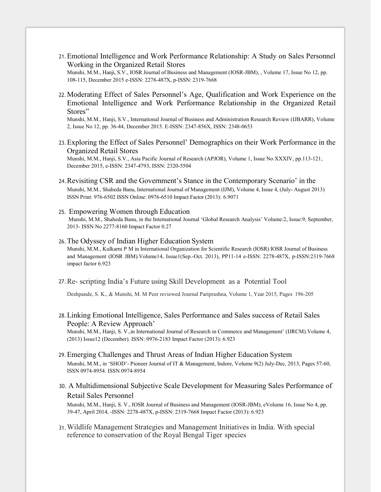21.Emotional Intelligence and Work Performance Relationship: A Study on Sales Personnel Working in the Organized Retail Stores

Munshi, M.M., Hanji, S.V., IOSR Journal of Business and Management (IOSR-JBM), , Volume 17, Issue No 12, pp. 108-115, December 2015 e-ISSN: 2278-487X, p-ISSN: 2319-7668

22.Moderating Effect of Sales Personnel's Age, Qualification and Work Experience on the Emotional Intelligence and Work Performance Relationship in the Organized Retail Stores"

Munshi, M.M., Hanji, S.V., International Journal of Business and Administration Research Review (IJBARR), Volume 2, Issue No 12, pp. 36-44, December 2015. E-ISSN: 2347-856X, ISSN: 2348-0653

23.Exploring the Effect of Sales Personnel' Demographics on their Work Performance in the Organized Retail Stores Munshi, M.M., Hanji, S.V., Asia Pacific Journal of Research (APJOR), Volume 1, Issue No XXXIV, pp.113-121,

24.Revisiting CSR and the Government's Stance in the Contemporary Scenario' in the Munshi, M.M., Shaheda Banu, International Journal of Management (IJM), Volume 4, Issue 4, (July- August 2013)

December 2015, e-ISSN: 2347-4793, ISSN: 2320-5504

ISSN Print: 976-6502 ISSN Online: 0976-6510 Impact Factor (2013): 6.9071

25. Empowering Women through Education Munshi, M.M., Shaheda Banu, in the International Journal 'Global Research Analysis' Volume:2, Issue:9, September, 2013- ISSN No 2277-8160 Impact Factor 0.27

#### 26.The Odyssey of Indian Higher Education System Munshi, M.M., Kulkarni P M in International Organization for Scientific Research (IOSR) IOSR Journal of Business and Management (IOSR JBM).Volume14, Issue1(Sep.-Oct. 2013), PP11-14 e-ISSN: 2278-487X, p-ISSN:2319-7668 impact factor 6.923

27.Re- scripting India's Future using Skill Development as a Potential Tool

Deshpande, S. K., & Munshi, M. M Peer reviewed Journal Pariprashna, Volume 1, Year 2015, Pages 196-205

28.Linking Emotional Intelligence, Sales Performance and Sales success of Retail Sales People: A Review Approach'

Munshi, M.M., Hanji, S. V.,in International Journal of Research in Commerce and Management' (IJRCM).Volume 4, (2013) Issue12 (December). ISSN: 0976-2183 Impact Factor (2013): 6.923

- 29.Emerging Challenges and Thrust Areas of Indian Higher Education System Munshi, M.M., in 'SHOD'- Pioneer Journal of IT & Management, Indore, Volume 9(2) July-Dec, 2013, Pages 57-60, ISSN 0974-8954. ISSN 0974-8954
- 30. A Multidimensional Subjective Scale Development for Measuring Sales Performance of Retail Sales Personnel

Munshi, M.M., Hanji, S. V., IOSR Journal of Business and Management (IOSR-JBM), eVolume 16, Issue No 4, pp. 39-47, April 2014, -ISSN: 2278-487X, p-ISSN: 2319-7668 Impact Factor (2013): 6.923

31.Wildlife Management Strategies and Management Initiatives in India. With special reference to conservation of the Royal Bengal Tiger species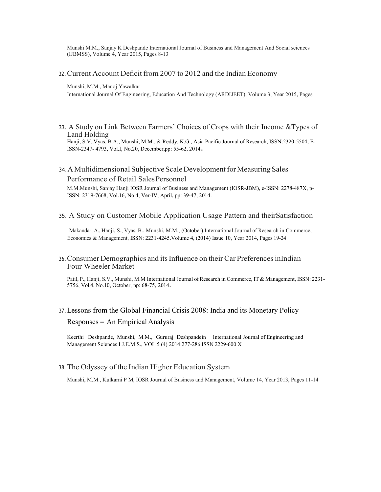Munshi M.M., Sanjay K Deshpande International Journal of Business and Management And Social sciences (IJBMSS), Volume 4, Year 2015, Pages 8-13

32.Current Account Deficit from 2007 to 2012 and the Indian Economy

Munshi, M.M., Manoj Yawalkar

International Journal Of Engineering, Education And Technology (ARDIJEET), Volume 3, Year 2015, Pages

33. A Study on Link Between Farmers' Choices of Crops with their Income &Types of Land Holding

Hanji, S.V.,Vyas, B.A., Munshi, M.M., & Reddy, K.G., Asia Pacific Journal of Research, ISSN:2320-5504, E-ISSN-2347- 4793, Vol.I, No.20, December,pp: 55-62, 2014.

#### 34. A Multidimensional Subjective Scale Development for Measuring Sales

Performance of Retail Sales Personnel

M.M.Munshi, Sanjay Hanji IOSR Journal of Business and Management (IOSR-JBM), e-ISSN: 2278-487X, p-ISSN: 2319-7668, Vol.16, No.4, Ver-IV, April, pp: 39-47, 2014.

#### 35. A Study on Customer Mobile Application Usage Pattern and theirSatisfaction

Makandar, A., Hanji, S., Vyas, B., Munshi, M.M., (October).International Journal of Research in Commerce, Economics & Management, ISSN: 2231-4245.Volume 4, (2014) Issue 10, Year 2014, Pages 19-24

#### 36.Consumer Demographics and its Influence on their Car Preferences inIndian Four Wheeler Market

Patil, P., Hanji, S.V., Munshi, M.M International Journal of Research in Commerce, IT & Management, ISSN: 2231-5756, Vol.4, No.10, October, pp: 68-75, 2014.

# 37.Lessons from the Global Financial Crisis 2008: India and its Monetary Policy Responses – An Empirical Analysis

Keerthi Deshpande, Munshi, M.M., Gururaj Deshpandein International Journal of Engineering and Management Sciences I.J.E.M.S., VOL.5 (4) 2014:277-286 ISSN 2229-600 X

#### 38.The Odyssey of the Indian Higher Education System

Munshi, M.M., Kulkarni P M, IOSR Journal of Business and Management, Volume 14, Year 2013, Pages 11-14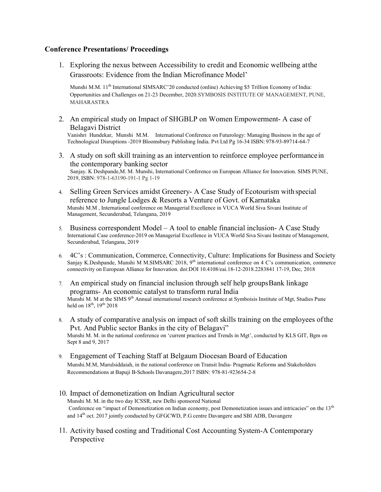## Conference Presentations/ Proceedings

1. Exploring the nexus between Accessibility to credit and Economic wellbeing at the Grassroots: Evidence from the Indian Microfinance Model'

Munshi M.M. 11<sup>th</sup> International SIMSARC'20 conducted (online) Achieving \$5 Trillion Economy of India: Opportunities and Challenges on 21-23 December, 2020.SYMBOSIS INSTITUTE OF MANAGEMENT, PUNE, MAHARASTRA

2. An empirical study on Impact of SHGBLP on Women Empowerment- A case of Belagavi District

Vanishri Hundekar, Munshi M.M. International Conference on Futurology: Managing Business in the age of Technological Disruptions -2019 Bloomsbury Publishing India. Pvt Ltd Pg 16-34 ISBN: 978-93-89714-64-7

- 3. A study on soft skill training as an intervention to reinforce employee performance in the contemporary banking sector Sanjay. K Deshpande,M. M. Munshi, International Conference on European Alliance for Innovation. SIMS PUNE, 2019, ISBN: 978-1-63190-191-1 Pg 1-19
- 4. Selling Green Services amidst Greenery- A Case Study of Ecotourism with special reference to Jungle Lodges & Resorts a Venture of Govt. of Karnataka Munshi M.M , International conference on Managerial Excellence in VUCA World Siva Sivani Institute of Management, Secunderabad, Telangana, 2019
- 5. Business correspondent Model A tool to enable financial inclusion- A Case Study International Case conference-2019 on Managerial Excellence in VUCA World Siva Sivani Institute of Management, Secunderabad, Telangana, 2019
- 6. 4C's : Communication, Commerce, Connectivity, Culture: Implications for Business and Society Sanjay K.Deshpande, Munshi M M.SIMSARC 2018, 9<sup>th</sup> international conference on 4 C's communication, commerce connectivity on European Alliance for Innovation. doi:DOI 10.4108/eai.18-12-2018.2283841 17-19, Dec, 2018
- 7. An empirical study on financial inclusion through self help groups Bank linkage programs- An economic catalyst to transform rural India Munshi M. M at the SIMS 9<sup>th</sup> Annual international research conference at Symboisis Institute of Mgt, Studies Pune held on  $18^{th}$ ,  $19^{th}$  2018
- 8. A study of comparative analysis on impact of soft skills training on the employees of the Pvt. And Public sector Banks in the city of Belagavi" Munshi M. M. in the national conference on 'current practices and Trends in Mgt', conducted by KLS GIT, Bgm on Sept 8 and 9, 2017
- 9. Engagement of Teaching Staff at Belgaum Diocesan Board of Education Munshi.M.M, Marulsiddaiah, in the national conference on Transit India- Pragmatic Reforms and Stakeholders Recommendations at Bapuji B-Schools Davanagere,2017 ISBN: 978-81-923654-2-8
- 10. Impact of demonetization on Indian Agricultural sector Munshi M. M. in the two day ICSSR, new Delhi sponsored National Conference on "impact of Demonetization on Indian economy, post Demonetization issues and intricacies" on the 13<sup>th</sup> and 14<sup>th</sup> oct. 2017 jointly conducted by GFGCWD, P.G centre Davangere and SBI ADB, Davangere
- 11. Activity based costing and Traditional Cost Accounting System-A Contemporary Perspective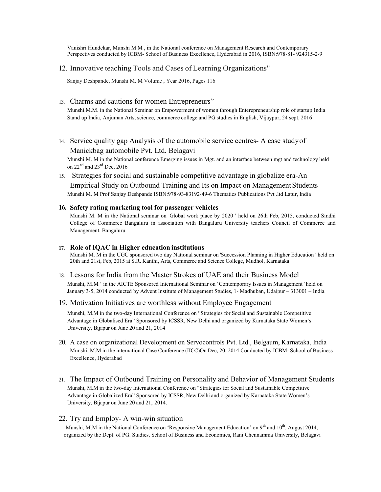Vanishri Hundekar, Munshi M M , in the National conference on Management Research and Contemporary Perspectives conducted by ICBM- School of Business Excellence, Hyderabad in 2016, ISBN:978-81- 924315-2-9

#### 12. Innovative teaching Tools and Cases of Learning Organizations"

Sanjay Deshpande, Munshi M. M Volume , Year 2016, Pages 116

#### 13. Charms and cautions for women Entrepreneurs"

Munshi.M.M. in the National Seminar on Empowerment of women through Enterepreneurship role of startup India Stand up India, Anjuman Arts, science, commerce college and PG studies in English, Vijaypur, 24 sept, 2016

14. Service quality gap Analysis of the automobile service centres- A case study of Manickbag automobile Pvt. Ltd. Belagavi

Munshi M. M in the National conference Emerging issues in Mgt. and an interface between mgt and technology held on 22<sup>nd</sup> and 23<sup>rd</sup> Dec, 2016

15. Strategies for social and sustainable competitive advantage in globalize era-An Empirical Study on Outbound Training and Its on Impact on Management Students Munshi M. M Prof Sanjay Deshpande ISBN:978-93-83192-49-6 Thematics Publications Pvt .ltd Latur, India

#### 16. Safety rating marketing tool for passenger vehicles

Munshi M. M in the National seminar on 'Global work place by 2020 ' held on 26th Feb, 2015, conducted Sindhi College of Commerce Bangaluru in association with Bangaluru University teachers Council of Commerce and Management, Bangaluru

#### 17. Role of IQAC in Higher education institutions

Munshi M. M in the UGC sponsored two day National seminar on 'Succession Planning in Higher Education ' held on 20th and 21st, Feb, 2015 at S.R. Kanthi, Arts, Commerce and Science College, Mudhol, Karnataka

#### 18. Lessons for India from the Master Strokes of UAE and their Business Model

Munshi, M.M ' in the AICTE Sponsored International Seminar on 'Contemporary Issues in Management 'held on January 3-5, 2014 conducted by Advent Institute of Management Studies, 1- Madhuban, Udaipur – 313001 – India

#### 19. Motivation Initiatives are worthless without Employee Engagement

Munshi, M.M in the two-day International Conference on "Strategies for Social and Sustainable Competitive Advantage in Globalised Era" Sponsored by ICSSR, New Delhi and organized by Karnataka State Women's University, Bijapur on June 20 and 21, 2014

- 20. A case on organizational Development on Servocontrols Pvt. Ltd., Belgaum, Karnataka, India Munshi, M.M in the international Case Conference (IICC)On Dec, 20, 2014 Conducted by ICBM- School of Business Excellence, Hyderabad
- 21. The Impact of Outbound Training on Personality and Behavior of Management Students Munshi, M.M in the two-day International Conference on "Strategies for Social and Sustainable Competitive Advantage in Globalized Era" Sponsored by ICSSR, New Delhi and organized by Karnataka State Women's University, Bijapur on June 20 and 21, 2014.

#### 22. Try and Employ- A win-win situation

Munshi, M.M in the National Conference on 'Responsive Management Education' on 9<sup>th</sup> and 10<sup>th</sup>, August 2014, organized by the Dept. of PG. Studies, School of Business and Economics, Rani Chennamma University, Belagavi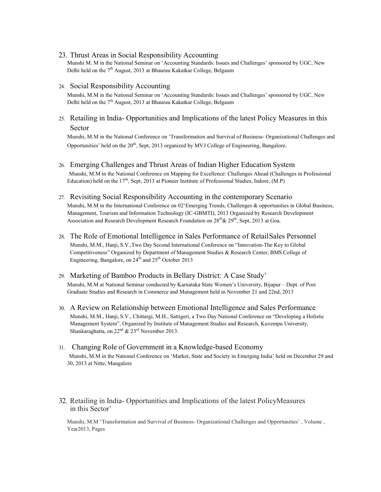23. Thrust Areas in Social Responsibility Accounting

Munshi M. M in the National Seminar on 'Accounting Standards: Issues and Challenges' sponsored by UGC, New Delhi held on the  $7<sup>th</sup>$  August, 2013 at Bhaurau Kakatkar College, Belgaum

#### 24. Social Responsibility Accounting

Munshi, M.M in the National Seminar on 'Accounting Standards: Issues and Challenges' sponsored by UGC, New Delhi held on the 7<sup>th</sup> August, 2013 at Bhaurau Kakatkar College, Belgaum

25. Retailing in India- Opportunities and Implications of the latest Policy Measures in this Sector

Munshi, M.M in the National Conference on 'Transformation and Survival of Business- Organizational Challenges and Opportunities' held on the  $20<sup>th</sup>$ , Sept, 2013 organized by MVJ College of Engineering, Bangalore.

- 26. Emerging Challenges and Thrust Areas of Indian Higher Education System Munshi, M.M in the National Conference on Mapping for Excellence: Challenges Ahead (Challenges in Professional Education) held on the  $17<sup>th</sup>$ , Sept, 2013 at Pioneer Institute of Professional Studies, Indore, (M.P)
- 27. Revisiting Social Responsibility Accounting in the contemporary Scenario Munshi, M.M in the International Conference on 02'Emerging Trends, Challenges & opportunities in Global Business, Management, Tourism and Information Technology (IC-GBMTI), 2013 Organized by Research Development Association and Research Development Research Foundation on  $28<sup>th</sup>$ &  $29<sup>th</sup>$ , Sept, 2013 at Goa.
- 28. The Role of Emotional Intelligence in Sales Performance of Retail Sales Personnel Munshi, M.M., Hanji, S.V.,Two Day Second International Conference on "Innovation-The Key to Global Competitiveness" Organized by Department of Management Studies & Research Center, BMS College of Engineering, Bangalore, on 24<sup>th</sup> and 25<sup>th</sup> October 2013
- 29. Marketing of Bamboo Products in Bellary District: A Case Study' Munshi, M.M at National Seminar conducted by Karnataka State Women's University, Bijapur – Dept. of Post Graduate Studies and Research in Commerce and Management held in November 21 and 22nd, 2013
- 30. A Review on Relationship between Emotional Intelligence and Sales Performance Munshi, M.M., Hanji, S.V., Chittargi, M.H., Sattigeri, a Two Day National Conference on "Developing a Holistic Management System", Organized by Institute of Management Studies and Research, Kuvempu University, Shankaraghatta, on 22<sup>nd</sup> & 23<sup>rd</sup> November 2013.
- 31. Changing Role of Government in a Knowledge-based Economy Munshi, M.M in the National Conference on 'Market, State and Society in Emerging India' held on December 29 and 30, 2013 at Nitte, Mangalore
- 32. Retailing in India- Opportunities and Implications of the latest PolicyMeasures in this Sector'

Munshi, M.M 'Transformation and Survival of Business- Organizational Challenges and Opportunities' , Volume , Year2013, Pages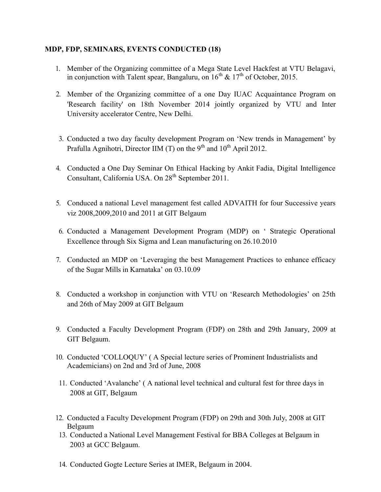# MDP, FDP, SEMINARS, EVENTS CONDUCTED (18)

- 1. Member of the Organizing committee of a Mega State Level Hackfest at VTU Belagavi, in conjunction with Talent spear, Bangaluru, on  $16^{th}$  &  $17^{th}$  of October, 2015.
- 2. Member of the Organizing committee of a one Day IUAC Acquaintance Program on 'Research facility' on 18th November 2014 jointly organized by VTU and Inter University accelerator Centre, New Delhi.
- 3. Conducted a two day faculty development Program on 'New trends in Management' by Prafulla Agnihotri, Director IIM (T) on the  $9<sup>th</sup>$  and  $10<sup>th</sup>$  April 2012.
- 4. Conducted a One Day Seminar On Ethical Hacking by Ankit Fadia, Digital Intelligence Consultant, California USA. On 28<sup>th</sup> September 2011.
- 5. Conduced a national Level management fest called ADVAITH for four Successive years viz 2008,2009,2010 and 2011 at GIT Belgaum
- 6. Conducted a Management Development Program (MDP) on ' Strategic Operational Excellence through Six Sigma and Lean manufacturing on 26.10.2010
- 7. Conducted an MDP on 'Leveraging the best Management Practices to enhance efficacy of the Sugar Mills in Karnataka' on 03.10.09
- 8. Conducted a workshop in conjunction with VTU on 'Research Methodologies' on 25th and 26th of May 2009 at GIT Belgaum
- 9. Conducted a Faculty Development Program (FDP) on 28th and 29th January, 2009 at GIT Belgaum.
- 10. Conducted 'COLLOQUY' ( A Special lecture series of Prominent Industrialists and Academicians) on 2nd and 3rd of June, 2008
- 11. Conducted 'Avalanche' ( A national level technical and cultural fest for three days in 2008 at GIT, Belgaum
- 12. Conducted a Faculty Development Program (FDP) on 29th and 30th July, 2008 at GIT Belgaum
- 13. Conducted a National Level Management Festival for BBA Colleges at Belgaum in 2003 at GCC Belgaum.
- 14. Conducted Gogte Lecture Series at IMER, Belgaum in 2004.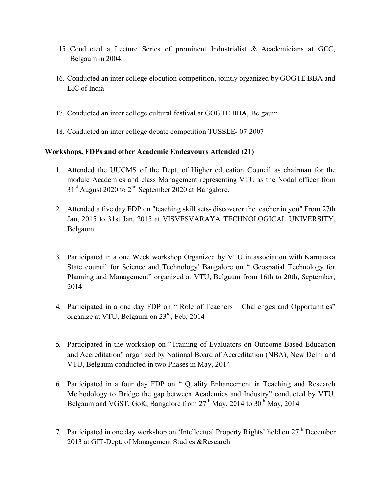- 15. Conducted a Lecture Series of prominent Industrialist & Academicians at GCC, Belgaum in 2004.
- 16. Conducted an inter college elocution competition, jointly organized by GOGTE BBA and LIC of India
- 17. Conducted an inter college cultural festival at GOGTE BBA, Belgaum
- 18. Conducted an inter college debate competition TUSSLE- 07 2007

# Workshops, FDPs and other Academic Endeavours Attended (21)

- 1. Attended the UUCMS of the Dept. of Higher education Council as chairman for the module Academics and class Management representing VTU as the Nodal officer from  $31<sup>st</sup>$  August 2020 to  $2<sup>nd</sup>$  September 2020 at Bangalore.
- 2. Attended a five day FDP on "teaching skill sets- discoverer the teacher in you" From 27th Jan, 2015 to 31st Jan, 2015 at VISVESVARAYA TECHNOLOGICAL UNIVERSITY, Belgaum
- 3. Participated in a one Week workshop Organized by VTU in association with Karnataka State council for Science and Technology' Bangalore on " Geospatial Technology for Planning and Management" organized at VTU, Belgaum from 16th to 20th, September, 2014
- 4. Participated in a one day FDP on " Role of Teachers Challenges and Opportunities" organize at VTU, Belgaum on  $23<sup>rd</sup>$ , Feb, 2014
- 5. Participated in the workshop on "Training of Evaluators on Outcome Based Education and Accreditation" organized by National Board of Accreditation (NBA), New Delhi and VTU, Belgaum conducted in two Phases in May, 2014
- 6. Participated in a four day FDP on " Quality Enhancement in Teaching and Research Methodology to Bridge the gap between Academics and Industry" conducted by VTU, Belgaum and VGST, GoK, Bangalore from  $27<sup>th</sup>$  May,  $2014$  to  $30<sup>th</sup>$  May,  $2014$
- 7. Participated in one day workshop on 'Intellectual Property Rights' held on  $27<sup>th</sup>$  December 2013 at GIT-Dept. of Management Studies &Research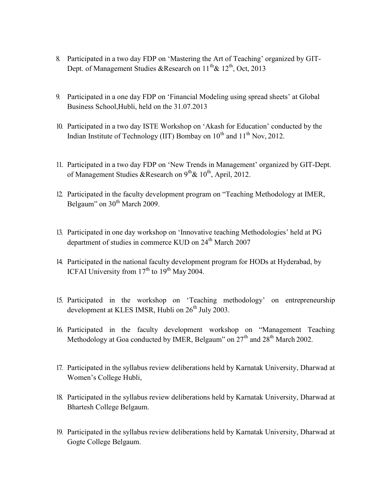- 8. Participated in a two day FDP on 'Mastering the Art of Teaching' organized by GIT-Dept. of Management Studies &Research on  $11^{th}$  &  $12^{th}$ , Oct, 2013
- 9. Participated in a one day FDP on 'Financial Modeling using spread sheets' at Global Business School,Hubli, held on the 31.07.2013
- 10. Participated in a two day ISTE Workshop on 'Akash for Education' conducted by the Indian Institute of Technology (IIT) Bombay on  $10^{th}$  and  $11^{th}$  Nov, 2012.
- 11. Participated in a two day FDP on 'New Trends in Management' organized by GIT-Dept. of Management Studies &Research on  $9^{th}$  &  $10^{th}$ , April, 2012.
- 12. Participated in the faculty development program on "Teaching Methodology at IMER, Belgaum" on 30<sup>th</sup> March 2009.
- 13. Participated in one day workshop on 'Innovative teaching Methodologies' held at PG department of studies in commerce KUD on 24<sup>th</sup> March 2007
- 14. Participated in the national faculty development program for HODs at Hyderabad, by ICFAI University from  $17<sup>th</sup>$  to  $19<sup>th</sup>$  May 2004.
- 15. Participated in the workshop on 'Teaching methodology' on entrepreneurship development at KLES IMSR, Hubli on  $26<sup>th</sup>$  July 2003.
- 16. Participated in the faculty development workshop on "Management Teaching Methodology at Goa conducted by IMER, Belgaum" on  $27<sup>th</sup>$  and  $28<sup>th</sup>$  March 2002.
- 17. Participated in the syllabus review deliberations held by Karnatak University, Dharwad at Women's College Hubli,
- 18. Participated in the syllabus review deliberations held by Karnatak University, Dharwad at Bhartesh College Belgaum.
- 19. Participated in the syllabus review deliberations held by Karnatak University, Dharwad at Gogte College Belgaum.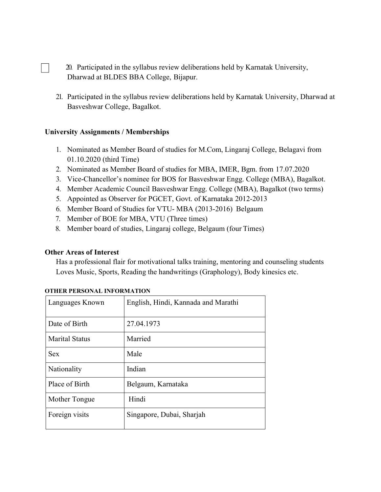- 20. Participated in the syllabus review deliberations held by Karnatak University, Dharwad at BLDES BBA College, Bijapur.
- 21. Participated in the syllabus review deliberations held by Karnatak University, Dharwad at Basveshwar College, Bagalkot.

# University Assignments / Memberships

- 1. Nominated as Member Board of studies for M.Com, Lingaraj College, Belagavi from 01.10.2020 (third Time)
- 2. Nominated as Member Board of studies for MBA, IMER, Bgm. from 17.07.2020
- 3. Vice-Chancellor's nominee for BOS for Basveshwar Engg. College (MBA), Bagalkot.
- 4. Member Academic Council Basveshwar Engg. College (MBA), Bagalkot (two terms)
- 5. Appointed as Observer for PGCET, Govt. of Karnataka 2012-2013
- 6. Member Board of Studies for VTU- MBA (2013-2016) Belgaum
- 7. Member of BOE for MBA, VTU (Three times)
- 8. Member board of studies, Lingaraj college, Belgaum (four Times)

# Other Areas of Interest

Has a professional flair for motivational talks training, mentoring and counseling students Loves Music, Sports, Reading the handwritings (Graphology), Body kinesics etc.

| Languages Known       | English, Hindi, Kannada and Marathi |
|-----------------------|-------------------------------------|
| Date of Birth         | 27.04.1973                          |
| <b>Marital Status</b> | Married                             |
| <b>Sex</b>            | Male                                |
| Nationality           | Indian                              |
| Place of Birth        | Belgaum, Karnataka                  |
| Mother Tongue         | Hindi                               |
| Foreign visits        | Singapore, Dubai, Sharjah           |

### OTHER PERSONAL INFORMATION